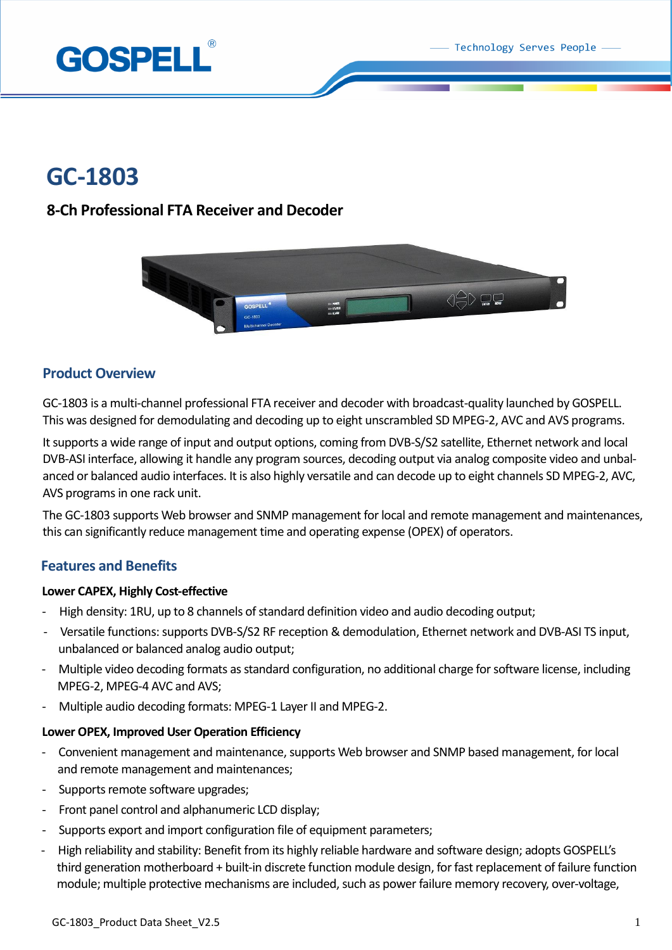Technology Serves People



# **GC-1803**

# **8-Ch Professional FTA Receiver and Decoder**



# **Product Overview**

GC-1803 is a multi-channel professional FTA receiver and decoder with broadcast-quality launched by GOSPELL. This was designed for demodulating and decoding up to eight unscrambled SD MPEG-2, AVC and AVS programs.

It supports a wide range of input and output options, coming from DVB-S/S2 satellite, Ethernet network and local DVB-ASI interface, allowing it handle any program sources, decoding output via analog composite video and unbalanced or balanced audio interfaces. It is also highly versatile and can decode up to eight channels SD MPEG-2, AVC, AVS programs in one rack unit.

The GC-1803 supports Web browser and SNMP management for local and remote management and maintenances, this can significantly reduce management time and operating expense (OPEX) of operators.

# **Features and Benefits**

### **Lower CAPEX, Highly Cost-effective**

- High density: 1RU, up to 8 channels of standard definition video and audio decoding output;
- Versatile functions: supports DVB-S/S2 RF reception & demodulation, Ethernet network and DVB-ASI TS input, unbalanced or balanced analog audio output;
- Multiple video decoding formats as standard configuration, no additional charge forsoftware license, including MPEG-2, MPEG-4 AVC and AVS;
- Multiple audio decoding formats: MPEG-1 Layer II and MPEG-2.

### **Lower OPEX, Improved User Operation Efficiency**

- Convenient management and maintenance, supports Web browser and SNMP based management, for local and remote management and maintenances;
- Supports remote software upgrades;
- Front panel control and alphanumeric LCD display;
- Supports export and import configuration file of equipment parameters;
- High reliability and stability: Benefit from its highly reliable hardware and software design; adopts GOSPELL's third generation motherboard + built-in discrete function module design, for fast replacement of failure function module; multiple protective mechanisms are included, such as power failure memory recovery, over-voltage,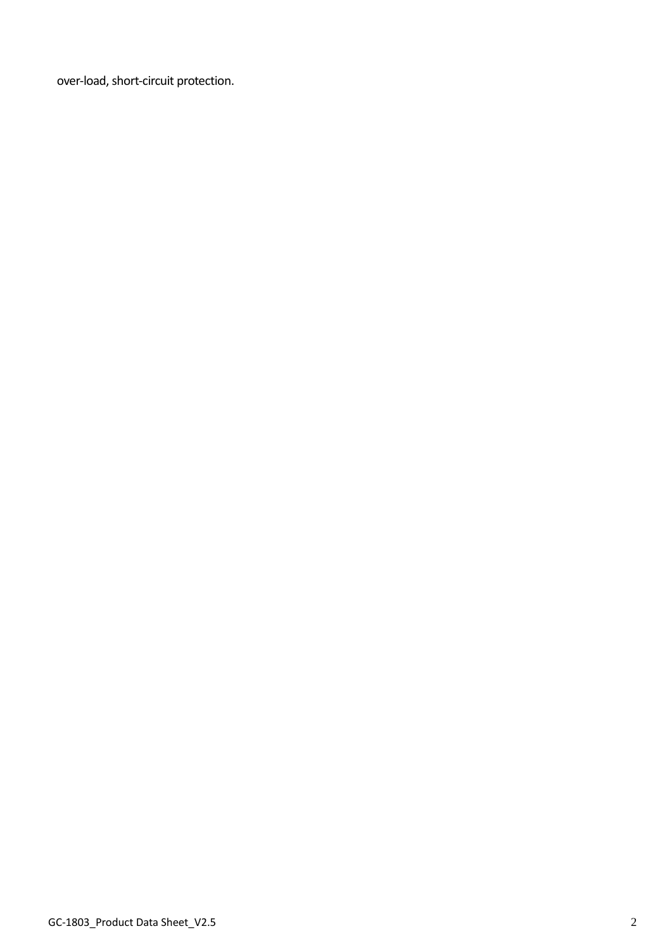over-load, short-circuit protection.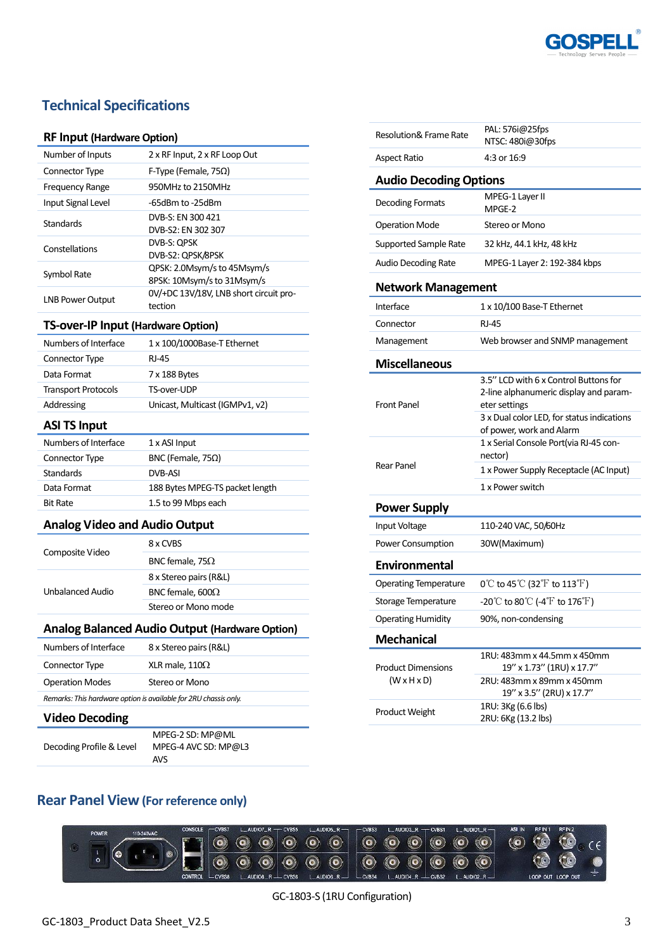

# **Technical Specifications**

#### **RF Input (Hardware Option)**

| Number of Inputs        | 2 x RF Input, 2 x RF Loop Out                             |
|-------------------------|-----------------------------------------------------------|
| Connector Type          | F-Type (Female, 75 $\Omega$ )                             |
| Frequency Range         | 950MHz to 2150MHz                                         |
| Input Signal Level      | -65dBm to -25dBm                                          |
| Standards               | DVB-S: EN 300 421<br>DVB-S2: EN 302 307                   |
| Constellations          | DVB-S: OPSK<br>DVB-S2: QPSK/8PSK                          |
| Symbol Rate             | QPSK: 2.0Msym/s to 45Msym/s<br>8PSK: 10Msym/s to 31Msym/s |
| <b>LNB Power Output</b> | 0V/+DC 13V/18V, LNB short circuit pro-<br>tection         |

#### **TS-over-IP Input (Hardware Option)**

| Numbers of Interface       | 1 x 100/1000Base-T Ethernet     |
|----------------------------|---------------------------------|
| Connector Type             | RI-45                           |
| Data Format                | 7 x 188 Bytes                   |
| <b>Transport Protocols</b> | TS-over-UDP                     |
| Addressing                 | Unicast, Multicast (IGMPv1, v2) |
|                            |                                 |

### **ASI TS Input**

| Numbers of Interface | 1 x ASI Input                   |
|----------------------|---------------------------------|
| Connector Type       | BNC (Female, $75\Omega$ )       |
| <b>Standards</b>     | DVB-ASI                         |
| Data Format          | 188 Bytes MPEG-TS packet length |
| <b>Bit Rate</b>      | 1.5 to 99 Mbps each             |

### **Analog Video and Audio Output**

| Composite Video  | 8 x CVBS                |
|------------------|-------------------------|
|                  | BNC female, 75 $\Omega$ |
| Unbalanced Audio | 8 x Stereo pairs (R&L)  |
|                  | BNC female, $600\Omega$ |
|                  | Stereo or Mono mode     |

### **Analog Balanced Audio Output (Hardware Option)**

| Numbers of Interface                                             | 8 x Stereo pairs (R&L) |
|------------------------------------------------------------------|------------------------|
| Connector Type                                                   | XLR male, $110\Omega$  |
| <b>Operation Modes</b>                                           | Stereo or Mono         |
| Remarks: This hardware option is available for 2RU chassis only. |                        |
| <b>Video Decoding</b>                                            |                        |

Decoding Profile & Level

MPEG-2 SD: MP@ML MPEG-4 AVC SD: MP@L3 AVS

| <b>Resolution&amp; Frame Rate</b>                    | PAL: 576i@25fps<br>NTSC: 480i@30fps                                                                                                            |  |
|------------------------------------------------------|------------------------------------------------------------------------------------------------------------------------------------------------|--|
| Aspect Ratio                                         | 4:3 or 16:9                                                                                                                                    |  |
| <b>Audio Decoding Options</b>                        |                                                                                                                                                |  |
| Decoding Formats                                     | MPEG-1 Layer II<br>MPGE-2                                                                                                                      |  |
| <b>Operation Mode</b>                                | Stereo or Mono                                                                                                                                 |  |
| <b>Supported Sample Rate</b>                         | 32 kHz, 44.1 kHz, 48 kHz                                                                                                                       |  |
| <b>Audio Decoding Rate</b>                           | MPEG-1 Layer 2: 192-384 kbps                                                                                                                   |  |
| <b>Network Management</b>                            |                                                                                                                                                |  |
| Interface                                            | 1 x 10/100 Base-T Ethernet                                                                                                                     |  |
| Connector                                            | RJ-45                                                                                                                                          |  |
| Management                                           | Web browser and SNMP management                                                                                                                |  |
| <b>Miscellaneous</b>                                 |                                                                                                                                                |  |
| <b>Front Panel</b>                                   | 3.5" LCD with 6 x Control Buttons for<br>2-line alphanumeric display and param-<br>eter settings<br>3 x Dual color LED, for status indications |  |
|                                                      | of power, work and Alarm<br>1 x Serial Console Port(via RJ-45 con-<br>nector)                                                                  |  |
| Rear Panel                                           | 1 x Power Supply Receptacle (AC Input)                                                                                                         |  |
|                                                      | 1 x Power switch                                                                                                                               |  |
| <b>Power Supply</b>                                  |                                                                                                                                                |  |
| Input Voltage                                        | 110-240 VAC, 50/60Hz                                                                                                                           |  |
| Power Consumption                                    | 30W(Maximum)                                                                                                                                   |  |
| Environmental                                        |                                                                                                                                                |  |
| <b>Operating Temperature</b>                         | 0°C to 45°C (32°F to 113°F)                                                                                                                    |  |
| Storage Temperature                                  | -20°C to 80°C (-4°F to 176°F)                                                                                                                  |  |
| <b>Operating Humidity</b>                            | 90%, non-condensing                                                                                                                            |  |
| <b>Mechanical</b>                                    |                                                                                                                                                |  |
| <b>Product Dimensions</b><br>$(W \times H \times D)$ | 1RU: 483mm x 44.5mm x 450mm<br>19" x 1.73" (1RU) x 17.7"<br>2RU: 483mm x 89mm x 450mm<br>19" x 3.5" (2RU) x 17.7"                              |  |
| Product Weight                                       | 1RU: 3Kg (6.6 lbs)<br>2RU: 6Kg (13.2 lbs)                                                                                                      |  |

# **Rear Panel View (For reference only)**



GC-1803-S (1RU Configuration)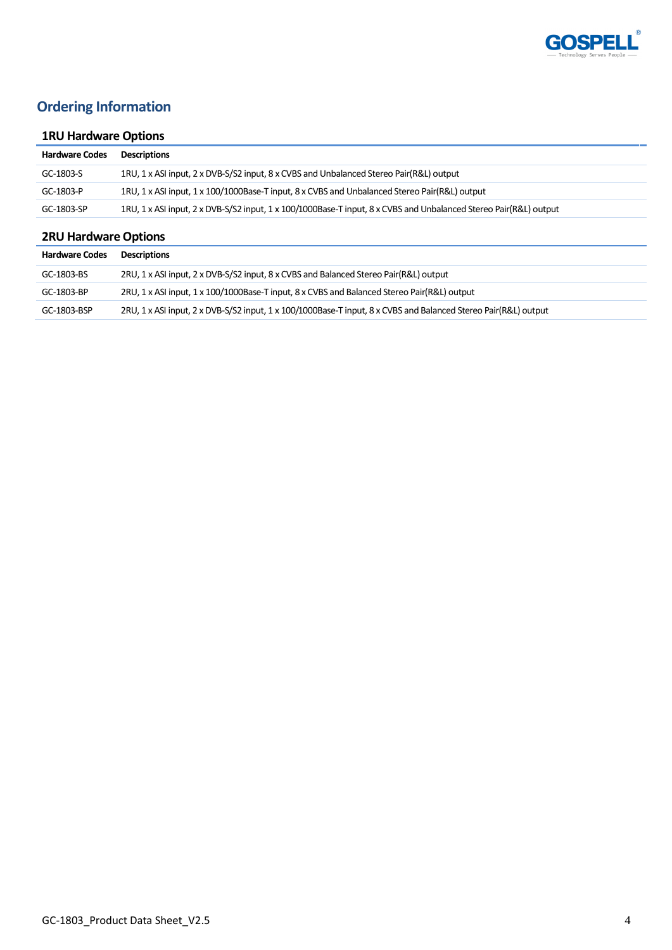

# **Ordering Information**

# **1RU Hardware Options**

| <b>Hardware Codes</b> | Descriptions                                                                                                      |
|-----------------------|-------------------------------------------------------------------------------------------------------------------|
| GC-1803-S             | 1RU, 1 x ASI input, 2 x DVB-S/S2 input, 8 x CVBS and Unbalanced Stereo Pair(R&L) output                           |
| GC-1803-P             | 1RU, 1 x ASI input, 1 x 100/1000Base-T input, 8 x CVBS and Unbalanced Stereo Pair(R&L) output                     |
| GC-1803-SP            | 1RU, 1 x ASI input, 2 x DVB-S/S2 input, 1 x 100/1000Base-T input, 8 x CVBS and Unbalanced Stereo Pair(R&L) output |

# **2RU Hardware Options**

| <b>Hardware Codes</b> | <b>Descriptions</b>                                                                                             |
|-----------------------|-----------------------------------------------------------------------------------------------------------------|
| GC-1803-BS            | 2RU, 1 x ASI input, 2 x DVB-S/S2 input, 8 x CVBS and Balanced Stereo Pair(R&L) output                           |
| GC-1803-BP            | 2RU, 1 x ASI input, 1 x 100/1000Base-T input, 8 x CVBS and Balanced Stereo Pair(R&L) output                     |
| GC-1803-BSP           | 2RU, 1 x ASI input, 2 x DVB-S/S2 input, 1 x 100/1000Base-T input, 8 x CVBS and Balanced Stereo Pair(R&L) output |